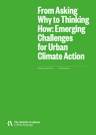# **From Asking Why to Thinking How: Emerging Challenges for Urban Climate Action**

Vanesa Castán Broto Linda Westman

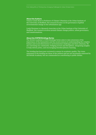#### **About the Authors**

Vanesa Castán Broto is Professor of Climate Urbanism at the Urban Institute of the University of Sheffield. Her research focuses on the governance of global environmental change in the urbanisation age.

Linda Westman is a Research Associate at the Urban Institute of the University of Sheffield. Her research revolves around climate change politics, urban governance, and transformations.

#### **About the COP26 Briefings Series**

The British Academy's COP26 Briefings Series aims to raise awareness of the importance of the humanities and the social sciences in understanding the complex human and social dimensions to environmental challenges and their solutions. We are convening our community, bridging sectors and disciplines, integrating insights to help inform policy, and encouraging interdisciplinary learning.

The briefing has been peer-reviewed to ensure its academic quality. The views expressed in the briefing are those of the authors and are not necessarily endorsed by the British Academy, but are commended as contributing to public debate.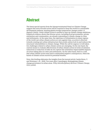## **Abstract**

The latest special reports from the Intergovernmental Panel on Climate Change suggest that more forceful action will be required to keep the world in a sustainable development pathway, keeping global average temperature changes under 1.5 degrees Celsius. Urban climate action is needed to step-up climate change ambitions. Empirical evidence shows that diverse actors, including local governments, private enterprises and communities, are already responding to climate change in cities and settlements. At the same time, the rapid pace of urbanisation in many regions of the world cast urban climate action as a race against time, as action is directed towards creating new urban infrastructure that avoids carbon lock-in and reduces the structural vulnerabilities to climate change. While the call for urgency is well taken, two challenges related to urban climate action are emerging. On the one hand, the current means to evaluate effectiveness of urban climate action in terms of emission reductions or reduction of risks do not capture the sometimes-imperceptible impacts of action taking place in cities and settlements. On the other hand, there is a risk that urban climate action may lead to unintended negative consequences, when the harms of climate action exceed its potential benefits.

Note: this briefing elaborates the insights from the journal article Castán Broto, V. and Westman, L.K., 2020. Ten years after Copenhagen: Reimagining climate change governance in urban areas. *Wiley Interdisciplinary Reviews: Climate Change*, 11(4), p.e643.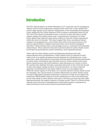#### **Introduction**

The IPCC Special Report on Global Warming of  $1.5^{\circ}$ C<sup>1</sup> made the case for stepping up climate action to keep temperature changes under safe levels. It also outlined the need to align climate action with the requirements of the Sustainable Development Goals, adopted by the United Nations in 2015 to ensure a sustainable future for all. The C40 Cities Climate Leadership Group, a network of cities that aims to tackle climate change from within urban areas, commissioned a Summary for Urban Policy Makers that called all urban policy makers to seize the climate opportunity within the next two decades.<sup>2</sup> This report argued that cities can address climate change in an integrated way, can act faster than other levels of government, and open up opportunities to support innovation than can be further propagated elsewhere. Urban climate action is increasingly seen as a cornerstone of sustainable urban futures.<sup>3</sup> These calls have fostered social innovation for urban climate action involving local governments, private enterprises, and community groups.

These calls for urban climate action are happening simultaneously with unprecedented rates of urbanisation. Urban climate action is required to avoid carbon lock-in in rapidly growing areas that demand new infrastructures. At the same time, rapid urban growth is associated with the growth of informal settlements, in which urban communities may lack basic services. Urban climate action must deliver infrastructures that build resilience while allowing every citizen to thrive. We examine this challenge through a systematic literature review of the last decade of cities and climate change research. From the literature, we observe that the rapid pace of urbanisation casts urban climate action as a race against time. While the call for urgency is well taken, two concerns related to urban climate action are emerging. The current means to evaluate effectiveness of urban climate action in terms of aggregated emission reductions or reduction of risks do not capture the sometimes-imperceptible impacts of action taking place in cities and settlements. On the other hand, is urban climate action just or are there social groups who suffer disproportionately the negative impacts of climate action? There is a risk that urban climate action may lead to maladaptation (unintended negative consequences), when the harms of such action exceed its potential benefits.

<sup>1</sup> IPCC (2018) *IPCC Special Report on Global Warming of 1.5 Degrees Celsius*.

<sup>2</sup> C40 (2018) *Summary for Urban Policy Makers*.

<sup>3</sup> Many other examples exist, including UNFCCC (2020) *Urban Climate Action Is Crucial to Bend the Emissions Curve*. Available at: <https://unfccc.int/news/urban-climate-action-is-crucial-to-bend-the-emissions-curve>and UN-Habitat (2020) *World Cities Report: The Value of Sustainable Urbanization*. Available at:<https://unhabitat.org/wcr/>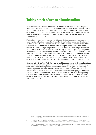### **Taking stock of urban climate action**

In the last decade, a wave of optimism has characterised sustainable development agendas and urban climate action in academic debates.<sup>4</sup> This wave of interest peaked around 2016, with the adoption of a Sustainable Development Goal on sustainable cities and communities and the presentation of the New Urban Agenda at the 2016 United Nations Conference on Housing and Sustainable Urban Development (Habitat III) in Quito, Ecuador.5,6

During these years, two approaches to thinking of climate action in urban areas came together. The first focused on the reduction of carbon emissions. The interest in climate mitigation in cities emerged in the 1990s, alongside the formation of the first international municipal networks for climate protection. In the mid-2000s, interest in climate change adaptation led to an increase in urban adaptation studies that incorporated considerations of justice, equity, informality, poverty, and gender as embedded in risk, vulnerability, and resilience agendas.<sup>7</sup> The cross-fertilisation of work across adaptation and mitigation research led to overlapping research between mitigation and adaptation. While trade-offs between the two areas exist, there are also important synergies that call for integration between the two areas of work in areas such as social policy, infrastructure development and nature-based solutions.

Since the adoption of the Paris Agreement for Climate Action in 2015, there have been multiple calls to evaluate global emission reductions systematically. For example, the Global Stocktake is a periodic exercise to evaluate the progress in achieving collective goals via national intended contributions. This focus on evaluation is also reflected in urban climate action, in efforts to measure the aggregate impact of both mitigation and adaptation action at the urban level. Thus, if at the beginning of the decade in 2010 we saw a wave of urban optimism, the second half has been characterised by what we could call urban pragmatism in the scholarship on cities and climate change.

<sup>4</sup> Barnett, C., & Parnell, S. (2016). Ideas, implementation and indicators: epistemologies of the post-2015 urban agenda. *Environment and Urbanization*, 28(1), 87-98.

<sup>5</sup> SDG11: Make cities inclusive, safe, resilient and sustainable

<sup>6</sup> For a summary of the conference see Castán Broto, V. (2016) Here's what happened at Habitat III – the world's biggest conference on cities. *The Conversation*. Available at: [https://theconversation.com/heres-what-happened-at-habitat-iii-the-worlds-biggest-conference](https://theconversation.com/heres-what-happened-at-habitat-iii-the-worlds-biggest-conference-on-cities-66146)[on-cities-66146](https://theconversation.com/heres-what-happened-at-habitat-iii-the-worlds-biggest-conference-on-cities-66146)

<sup>7</sup> A summary of the debates at the time is presented in Satterthwaite, D. (2007). *Adapting to climate change in urban areas: The possibilities and constraints in low-and middle-income nations*. London, England: IIED.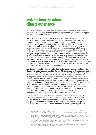#### **Insights from the urban climate experience**

Calls to step up efforts in urban climate action follow decades of research on cities and climate change. This literature provides important insights into how to support and foster urban climate action.

One insight relates to the factors that drive urban climate action. Since the late 1980s, city mayors, local leaders, and officials have voluntarily taken up diverse responsibilities for climate mitigation and adaptation. One motivation is the possibility of deliver co-benefits. For example, the possibility to ameliorate energy poverty among disadvantaged urban populations has long been a motivation for programmes to retrofit social housing in countries such as the UK, Germany or Slovenia. Another important factor is an abstract concept which we can call political leadership. This refers to contexts in which mayors tackle climate change as flagship projects or distinctive policies that resonate with their constituencies.<sup>8</sup> Specific events, such as climate-related disasters, may make those constituencies more visible. The recent spread of climate emergency declarations among local governments, for example, have demonstrated the impact of civil society action in urban climate politics.<sup>9</sup> More recent work has evaluated the combinations of multiple motivations for climate action.<sup>10</sup> For example, local governments may have to balance political will with autonomy and the availability of resources.

Another set of insights relate to the institutional arrangements that facilitate urban climate action. For example, the 2015 Sustainable Development Goals have promoted a vision of urban climate action as being inclusive, partnership-based, and equitable, even if those values are not always deployed in practice. At the same time, some strategies have become commonplace in urban climate action. Recommendations include collaborating with multiple stakeholders, integrating action across sectors, mainstreaming climate ambitions across municipal operations, cooperating across levels of government and with non-governmental actors, and focusing on long-term goals. There are, nevertheless, important challenges. For example, jurisdictions and competencies vary across countries, and it is not always possible to ensure appropriate divisions of responsibility across levels of government. Moreover, local governments and other actors may not have the capacities to maintain communication, share resources, and learn across sectoral divisions.<sup>11</sup>

Finally, there has been a great interest in the role of transnational municipal networks, such as the C40 and ICLEI (Local Governments for Sustainability). These networks have increased the influence of cities in international climate policy.<sup>12</sup> There is abundant evidence of the different functions that they play, for example, in supporting the uptake of municipal climate plans, approaches,

<sup>8</sup> Carmin, J., Anguelovski, I., & Roberts, D. (2012). Urban climate adaptation in the Global South: Planning in an emerging policy domain. *Journal of Planning Education and Research*, 32(1), 18–32.

Other examples include: Dolsak, N., & Prakash, A. (2017). Join the Club: How the domestic NGO sector induces participation in the<br>Covenant of mayors program. International Interactions, 43(1), 26-47; Hultquist, A., Wood, R between climate change policy and socioeconomic changes in the US Great Plains. *Urban Affairs Review*, 53(1), 138–174.

<sup>10</sup> Reckien, D., Flacke, J., Olazabal, M., & Heidrich, O. (2015). The influence of drivers and barriers on urban adaptation and mitigation plans — An empirical analysis of European cities. *PLoS One*, 10(8), e0135597.

<sup>11</sup> Aylett, A. (2013). The socio-institutional dynamics of urban climate governance: A comparative analysis of innovation and change in Durban (KZN, South Africa) and Portland (OR, USA). *Urban Studies*, 50(7), 1386–1402; Jaglin, S. (2014). Urban energy policies and the governance of multilevel issues in Cape Town. *Urban Studies*, 51(7), 1394–1414.

<sup>12</sup> Betsill, M. M., & Bulkeley, H. (2004). Transnational networks and global environmental governance: The cities for climate protection program. *International Studies Quarterly*, 48(2), 471–493; Toly, N. J. (2008). Transnational municipal networks in climate politics: From global governance to global politics. *Globalizations*, 5(3), 341-356.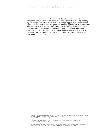and solutions in a growing number of cities.<sup>13</sup> Cities that participate in these networks may benefit from access to information and technical expertise, capacity-building (e.g., training of local officials in carbon accounting), support in the formalisation of goals, and influence in advocacy processes aimed at higher levels of government.<sup>14</sup> However, further work suggests that such networks may impact the autonomy of local governments and their effect on reducing greenhouse emissions has been questioned.15,16 Yet, given that the map of global climate politics is yet to be drawn, the ability of city networks to coordinate action across sectors and scales is full of possibility and promise.<sup>17</sup>

<sup>13</sup> See for example: Hakelberg, L. (2014). Governance by diffusion: Transnational municipal networks and the spread of local climate strategies in Europe. *Global Environmental Politics*, 14(1), 107–129; Roger, C., Hale, T., & Andonova, L. (2017). The comparative politics of transnational climate governance. *International Interactions*, 43(1), 1–25.

<sup>14</sup> Busch, H. (2015). Linked for action? An analysis of transnational municipal climate networks in Germany. *International Journal of Urban Sustainable Development*, *7*(2), 213-231.

<sup>15</sup> Chu, E. K. (2018a). Transnational support for urban climate adaptation: Emerging forms of agency and dependency. *Global Environmental Politics*, 18(3), 25–46

<sup>16</sup> Bansard, J. S., Pattberg, P. H., & Widerberg, O. (2017). Cities to the rescue? Assessing the performance of transnational municipal networks in global climate governance. *International Environmental Agreements: Politics Law and Economics*, 17(2), 229–246.

<sup>17</sup> As concluded by Gordon, D.J. (2021) *Cities on the World Stage*. Cambridge: Cambridge University Press.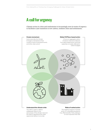# **A call for urgency**

Climate action in cities and settlements is increasingly seen in terms of urgency to facilitate a just transition to low carbon, resilient cities and settlements.

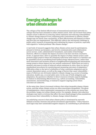#### **Emerging challenges for urban climate action**

The critique of the limited effectiveness of transnational municipal networks is a critique that has been extended to urban climate action. How can we know that urban climate action is effective in reducing carbon emissions and reducing vulnerabilities to climate change impacts? Even comparing policy instruments to address climate change may not throw clear conclusions, as their effectiveness will depend on where and how they are implemented. This difficulty reflects the well-known challenge in public policy research of measuring and evaluating the impact of policies, especially with regards to 'wicked problems' like climate change.<sup>18</sup>

A vast body of research suggests that urban climate action must be participatory, attuned to bottom-up dynamics, and involve communication and collaboration across sectors, scales, administrative boundaries, and realms of knowledge.<sup>19</sup> However, efforts to evaluate the impact of action so far have not been conclusive. In fact, it appears that a drive to quantify the impact of urban climate action could promote larger projects where the emissions reductions with respect to a baseline can be quantified (such as retrofitting fossil fuelled energy infrastructures), rather than more innovative and inclusive projects of neighbourhood planning and autonomous energy projects whose impacts are not entirely understood. While there are tools to measure outcomes in terms of reduced carbon emissions in cities, there is a lack of standardised procedures for monitoring and measuring outcomes of adaptation.<sup>20</sup> Difficulties relate to the lack of a definition of what constitutes adaptation and its context-dependent nature, as well as the range of factors that cause vulnerability – many of which are not obviously related to climate change (e.g. access to housing, education, health case, or social safety nets). In the case of both mitigation and adaptation, the question is whether to direct resources towards capacity building in relation to determining effectiveness (e.g. carbon accounting, vulnerability assessments, and monitoring), or instead to support ongoing action where outcomes are unknown.

At the same time, there is increased evidence that urban inequality shapes climate action, and that urban climate action too often exacerbates inequalities. The ghost of maladaptation, where unintended consequences of the solution are worse than the problem, hangs over urban climate action. For example, disaster risk reduction strategies may lead to evictions that affect the most disadvantaged urban populations and increase their vulnerability to climate change-related disasters.<sup>21</sup>

An underlying concern is that urban climate policy is dominated by narrowly defined economic interests and private investment opportunities.<sup>22</sup> Policy based in such logics may have unintended negative impacts, by contributing to privatisation

Grecequet, M., 2019. Tracking global climate change adaptation among governments. *Nature Climate Change*, 9(6), pp.440-449. 21 Alvarez, M.K. and Cardenas, K., 2019. Evicting slums, 'building back better': Resiliency revanchism and disaster risk management in Manila. *International Journal of Urban and Regional Research*, 43(2), pp.227-249.

<sup>18</sup> Peters, B. G., Capano, G., Howlett, M., Mukherjee, I., Chou, M. H., & Ravinet, P. (2018). *Designing for policy effectiveness: Defining and understanding a concept*. Cambridge University Press.

<sup>19</sup> See for example: Barton, J. R., Krellenberg, K., & Harris, J. M. (2015). Collaborative governance and the challenges of participatory climate change adaptation planning in Santiago de Chile. *Climate and Development*, 7(2), 175–184; Chu, E., Schenk, T., & Patterson, J. (2018). The dilemmas of citizen inclusion in urban planning and governance to enable a 1.5C climate change scenario. *Urban Planning*, 3(2), 128–140; Nguyen, T. M. P., Davidson, K., & Gleeson, B. (2018). Metropolitan strategies and climate governance: Towards new evaluative approaches. *International Journal of Urban and Regional Research*, 42(5), 934–951.

<sup>20</sup> Berrang-Ford, L., Biesbroek, R., Ford, J.D., Lesnikowski, A., Tanabe, A., Wang, F.M., Chen, C., Hsu, A., Hellmann, J.J., Pringle, P. and

<sup>22</sup> Long, J., & Rice, J. L. (2019). From sustainable urbanism to climate urbanism. *Urban Studies*, *56*(5), 992-1008.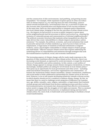and the construction of elite environments, land grabbing, and growing income inequalities.<sup>23</sup> For example, while expansion of green spaces in cities can reduce risks of climate impacts (e.g. by reducing heat and risks of flooding), projects aimed towards beautification, environmental clean-up, or provision of parks can also increase risks of gentrification and displacement of low-income residents.<sup>24</sup> At the same time, there are clear opportunities to integrate justice dimensions into local climate plans, bringing to the fore the outcomes of urban climate action (e.g., the impacts on fuel poverty or access to public transport or green space across neighbourhoods) and the processes to deliver such action (e.g., ensuring the inclusion of vulnerable groups and representatives of informal neighbourhoods).<sup>25</sup> The political-economic structures that maintain urban inequalities are often the same drivers that create vulnerabilities to climate impacts and produce carbon emissions.<sup>26</sup> For example, the political, economic, and social exclusions that result in precarity and poverty of urban residents (e.g. lack of access to basic services, employment, or legal status of residents of informal settlements or migrant workers), cause a much higher vulnerability to climate impacts of these groups and individuals.<sup>27</sup> Effective and just climate action thus requires addressing the underlying drivers of vulnerabilities and emissions through strategies that seek the transformation of political, social, and economic institutions.<sup>28</sup>

The increasing urgency of climate change calls for ready-made responses to the question of what constitutes effective urban climate action. However, there is an increasing social demand, as expressed by social movements, to target the structural drivers of vulnerability and carbon emissions. In this context, a new politics of climate change appears to emerge around climate emergency declarations, in which, increasingly, multiple publics are asking for involvement in local climate policy.<sup>29</sup> This opens up an opportunity for local governments and other actors – including small and medium enterprises, civil society organisations and communities – to harness the momentum within climate assemblies, climate commissions, exhibitions and social media to build collaborative partnerships for climate action at the local level. However, to do so will require developing sensitivity towards a diverse society in which identity should not be a condition to address climate change. By this, we mean that there is a need to challenge social categories of difference (be it gender, race, age, ability, sexuality, caste, religion, nationality, or legal status) that routinely exclude groups and individuals from decision making processes and direct action. Environmental justice movements have demonstrated that effective environmental action needs to engage with the struggles of civil rights movements. This is a moment of urgency and opportunity for local actors, to implement daring and innovative climate policy, but, most of all, to build multi-actor partnerships to facilitate a broad social transformation.

25 Schrock, G., Bassett, E. M., & Green, J. (2015). Pursuing equity and justice in a changing climate: Assessing equity in local climate and sustainability plans in US cities. *Journal of Planning Education and Research*, *35*(3), 282-295.

<sup>23</sup> Anguelovski, I., Irazábal-Zurita, C., & Connolly, J. J. T. (2019). Grabbed urban landscapes: Socio-spatial tensions in green infrastructure planning in Medellín. *International Journal of Urban and Regional Research*, 43(1), 133–156; Anguelovski, I., Shi, L., Chu, E., et. al. (2016). Equity impacts of urban land use planning for climate adaptation: Critical perspectives from the global north and south. *Journal of Planning Education and Research*, 36(3), 333-348.

<sup>24</sup> Anguelovski, I., 2016. From toxic sites to parks as (green) LULUs? New challenges of inequity, privilege, gentrification, and exclusion for urban environmental justice. *Journal of Planning Literature*, *31*(1), pp.23-36; Checker, M., 2011. Wiped out by the "greenwave": Environmental gentrification and the paradoxical politics of urban sustainability. *City & Society*, *23*(2), pp.210-229.

<sup>26</sup> Andrew Rumbach (2017) At the roots of urban disasters: Planning and uneven geographies of risk in Kolkata, India, *Journal of Urban Affairs*, 39:6, 783-799, DOI: 10.1080/07352166.2017.1282771, p.783

<sup>27</sup> Satterthwaite, D., Archer, D., Colenbrander, S., Dodman, D., Hardoy, J., Mitlin, D. and Patel, S., 2020. Building resilience to climate change in informal settlements. *One Earth*, *2*(2), pp.143-156; Chu, E. and Michael, K., 2019. Recognition in urban climate justice: Marginality and exclusion of migrants in Indian cities. *Environment and Urbanization*, *31*(1), pp.139-156.

<sup>28</sup> Chu, E., Anguelovski, I., & Roberts, D. (2017). Climate adaptation as strategic urbanism: Assessing opportunities and uncertainties for equity and inclusive development in cities. *Cities*, 60, 378–387; Revi, A., Satterthwaite, D., Aragón-Durand, F. et al. (2014). Towards transformative adaptation in cities: The IPCC's fifth assessment. Environment and Urbanization, 26(1), 11–28.

<sup>29</sup> Davies, A., Castán Broto, V., and Hugel, S. (2021) A new politics of climate change? *Environment and Governance*. Forthcoming; Ruiz-Campillo, X., Castán Broto, V., & Westman, L. (2021). Motivations and intended outcomes in local governments' declarations of climate emergency. *Politics and Governance*, 9(2), 17-28.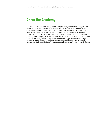## **About the Academy**

The British Academy is an independent, self-governing corporation, composed of almost 1,000 UK Fellows and 300 overseas Fellows elected in recognition of their distinction as scholars and researchers. Its objectives, powers and framework of governance are set out in the Charter and its supporting Bye-Laws, as approved by the Privy Council. The Academy receives public funding from the Science and Research budget allocated by a grant from the Department for Business, Energy and Industrial Strategy (BEIS). It also receives support from private sources and draws on its own funds. The views and conclusions expressed here are not necessarily endorsed by individual Fellows but are commended as contributing to public debate.